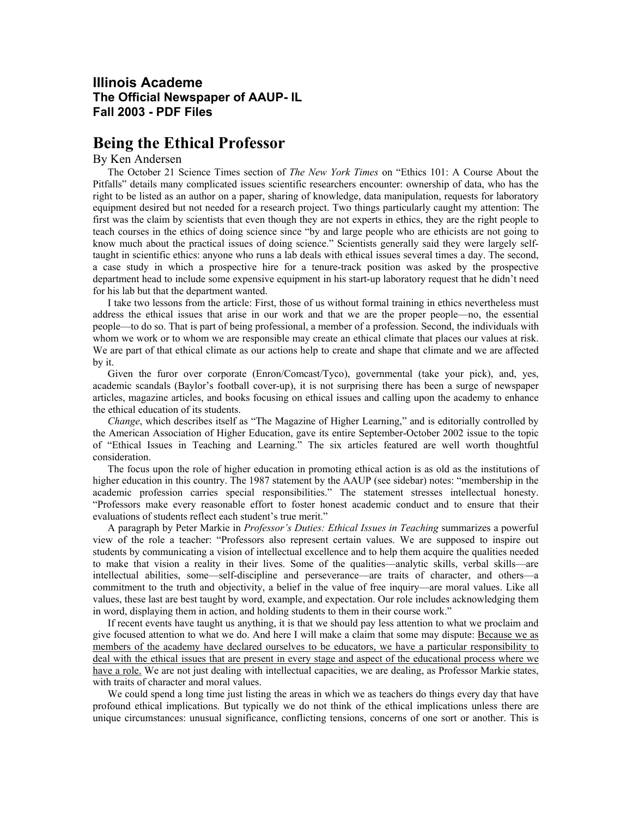## **Illinois Academe The Official Newspaper of AAUP- IL Fall 2003 - PDF Files**

## **Being the Ethical Professor**

## By Ken Andersen

The October 21 Science Times section of *The New York Times* on "Ethics 101: A Course About the Pitfalls" details many complicated issues scientific researchers encounter: ownership of data, who has the right to be listed as an author on a paper, sharing of knowledge, data manipulation, requests for laboratory equipment desired but not needed for a research project. Two things particularly caught my attention: The first was the claim by scientists that even though they are not experts in ethics, they are the right people to teach courses in the ethics of doing science since "by and large people who are ethicists are not going to know much about the practical issues of doing science." Scientists generally said they were largely selftaught in scientific ethics: anyone who runs a lab deals with ethical issues several times a day. The second, a case study in which a prospective hire for a tenure-track position was asked by the prospective department head to include some expensive equipment in his start-up laboratory request that he didn't need for his lab but that the department wanted.

I take two lessons from the article: First, those of us without formal training in ethics nevertheless must address the ethical issues that arise in our work and that we are the proper people—no, the essential people—to do so. That is part of being professional, a member of a profession. Second, the individuals with whom we work or to whom we are responsible may create an ethical climate that places our values at risk. We are part of that ethical climate as our actions help to create and shape that climate and we are affected by it.

Given the furor over corporate (Enron/Comcast/Tyco), governmental (take your pick), and, yes, academic scandals (Baylor's football cover-up), it is not surprising there has been a surge of newspaper articles, magazine articles, and books focusing on ethical issues and calling upon the academy to enhance the ethical education of its students.

*Change*, which describes itself as "The Magazine of Higher Learning," and is editorially controlled by the American Association of Higher Education, gave its entire September-October 2002 issue to the topic of "Ethical Issues in Teaching and Learning." The six articles featured are well worth thoughtful consideration.

The focus upon the role of higher education in promoting ethical action is as old as the institutions of higher education in this country. The 1987 statement by the AAUP (see sidebar) notes: "membership in the academic profession carries special responsibilities." The statement stresses intellectual honesty. "Professors make every reasonable effort to foster honest academic conduct and to ensure that their evaluations of students reflect each student's true merit."

A paragraph by Peter Markie in *Professor's Duties: Ethical Issues in Teaching* summarizes a powerful view of the role a teacher: "Professors also represent certain values. We are supposed to inspire out students by communicating a vision of intellectual excellence and to help them acquire the qualities needed to make that vision a reality in their lives. Some of the qualities—analytic skills, verbal skills—are intellectual abilities, some—self-discipline and perseverance—are traits of character, and others—a commitment to the truth and objectivity, a belief in the value of free inquiry—are moral values. Like all values, these last are best taught by word, example, and expectation. Our role includes acknowledging them in word, displaying them in action, and holding students to them in their course work."

If recent events have taught us anything, it is that we should pay less attention to what we proclaim and give focused attention to what we do. And here I will make a claim that some may dispute: Because we as members of the academy have declared ourselves to be educators, we have a particular responsibility to deal with the ethical issues that are present in every stage and aspect of the educational process where we have a role. We are not just dealing with intellectual capacities, we are dealing, as Professor Markie states, with traits of character and moral values.

We could spend a long time just listing the areas in which we as teachers do things every day that have profound ethical implications. But typically we do not think of the ethical implications unless there are unique circumstances: unusual significance, conflicting tensions, concerns of one sort or another. This is